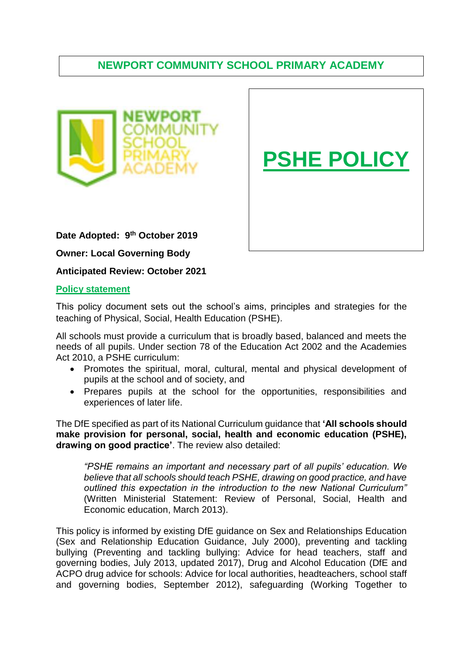# **. NEWPORT COMMUNITY SCHOOL PRIMARY ACADEMY**





**Date Adopted: 9 th October 2019**

**Owner: Local Governing Body**

**Anticipated Review: October 2021**

# **Policy statement**

This policy document sets out the school's aims, principles and strategies for the teaching of Physical, Social, Health Education (PSHE).

All schools must provide a curriculum that is broadly based, balanced and meets the needs of all pupils. Under section 78 of the Education Act 2002 and the Academies Act 2010, a PSHE curriculum:

- Promotes the spiritual, moral, cultural, mental and physical development of pupils at the school and of society, and
- Prepares pupils at the school for the opportunities, responsibilities and experiences of later life.

The DfE specified as part of its National Curriculum guidance that **'All schools should make provision for personal, social, health and economic education (PSHE), drawing on good practice'**. The review also detailed:

*"PSHE remains an important and necessary part of all pupils' education. We believe that all schools should teach PSHE, drawing on good practice, and have outlined this expectation in the introduction to the new National Curriculum"* (Written Ministerial Statement: Review of Personal, Social, Health and Economic education, March 2013).

This policy is informed by existing DfE guidance on [Sex and Relationships Education](http://www.education.gov.uk/aboutdfe/statutory/g00214676/sex-and-relationships-education-guidance) (Sex and Relationship Education Guidance, July 2000), [preventing and tackling](http://www.education.gov.uk/aboutdfe/advice/f0076899/preventing-and-tackling-bullying)  [bullying](http://www.education.gov.uk/aboutdfe/advice/f0076899/preventing-and-tackling-bullying) (Preventing and tackling bullying: Advice for head teachers, staff and governing bodies, July 2013, updated 2017), [Drug and Alcohol Education](https://www.gov.uk/government/publications/dfe-and-acpo-drug-advice-for-schools) (DfE and ACPO drug advice for schools: Advice for local authorities, headteachers, school staff and governing bodies, September 2012), [safeguarding](http://www.education.gov.uk/schools/guidanceandadvice?f_category=Safeguarding&page=1) (Working Together to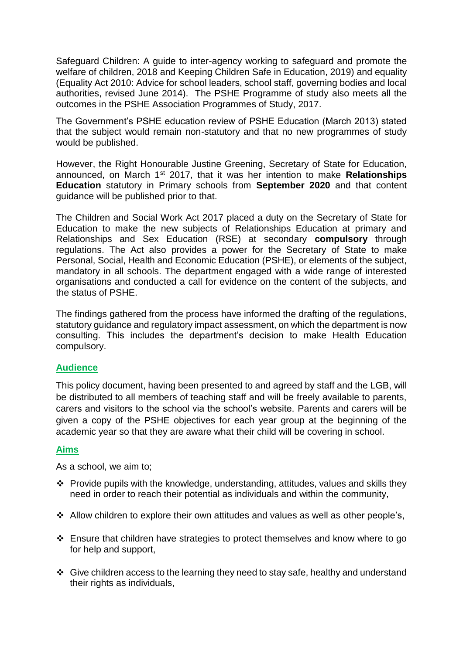Safeguard Children: A guide to inter-agency working to safeguard and promote the welfare of children, 2018 and [Keeping Children Safe in Education, 2019](https://www.gov.uk/government/publications/keeping-children-safe-in-education--2)) and [equality](http://www.education.gov.uk/aboutdfe/advice/f00215460/equality-act-2010-departmental-advice) (Equality Act 2010: Advice for school leaders, school staff, governing bodies and local authorities, revised June 2014). The PSHE Programme of study also meets all the outcomes in the PSHE Association Programmes of Study, 2017.

The Government's PSHE education review of PSHE Education (March 2013) stated that the subject would remain non-statutory and that no new programmes of study would be published.

However, the Right Honourable Justine Greening, Secretary of State for Education, announced, on March 1st 2017, that it was her intention to make **Relationships Education** statutory in Primary schools from **September 2020** and that content guidance will be published prior to that.

The Children and Social Work Act 2017 placed a duty on the Secretary of State for Education to make the new subjects of Relationships Education at primary and Relationships and Sex Education (RSE) at secondary **compulsory** through regulations. The Act also provides a power for the Secretary of State to make Personal, Social, Health and Economic Education (PSHE), or elements of the subject, mandatory in all schools. The department engaged with a wide range of interested organisations and conducted a call for evidence on the content of the subjects, and the status of PSHE.

The findings gathered from the process have informed the drafting of the regulations, statutory guidance and regulatory impact assessment, on which the department is now consulting. This includes the department's decision to make Health Education compulsory.

# **Audience**

This policy document, having been presented to and agreed by staff and the LGB, will be distributed to all members of teaching staff and will be freely available to parents, carers and visitors to the school via the school's website. Parents and carers will be given a copy of the PSHE objectives for each year group at the beginning of the academic year so that they are aware what their child will be covering in school.

# **Aims**

As a school, we aim to;

- $\cdot \cdot$  Provide pupils with the knowledge, understanding, attitudes, values and skills they need in order to reach their potential as individuals and within the community,
- Allow children to explore their own attitudes and values as well as other people's,
- $\cdot$  Ensure that children have strategies to protect themselves and know where to go for help and support,
- $\div$  Give children access to the learning they need to stay safe, healthy and understand their rights as individuals,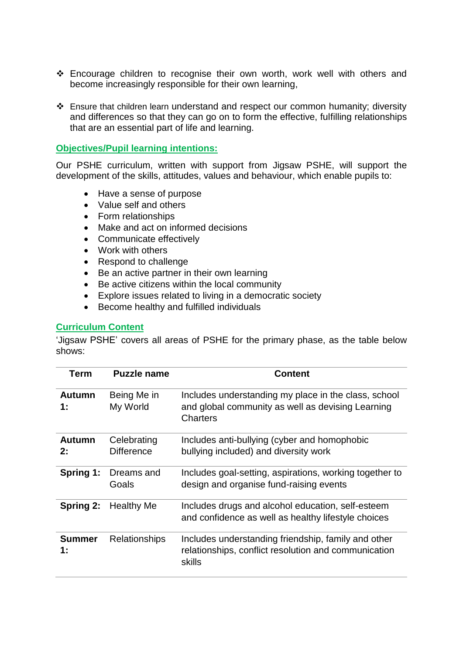- Encourage children to recognise their own worth, work well with others and become increasingly responsible for their own learning,
- Ensure that children learn understand and respect our common humanity; diversity and differences so that they can go on to form the effective, fulfilling relationships that are an essential part of life and learning.

#### **Objectives/Pupil learning intentions:**

Our PSHE curriculum, written with support from Jigsaw PSHE, will support the development of the skills, attitudes, values and behaviour, which enable pupils to:

- Have a sense of purpose
- Value self and others
- Form relationships
- Make and act on informed decisions
- Communicate effectively
- Work with others
- Respond to challenge
- Be an active partner in their own learning
- Be active citizens within the local community
- Explore issues related to living in a democratic society
- Become healthy and fulfilled individuals

#### **Curriculum Content**

'Jigsaw PSHE' covers all areas of PSHE for the primary phase, as the table below shows:

| <b>Term</b>         | <b>Puzzle name</b>               | <b>Content</b>                                                                                                        |
|---------------------|----------------------------------|-----------------------------------------------------------------------------------------------------------------------|
| <b>Autumn</b><br>1: | Being Me in<br>My World          | Includes understanding my place in the class, school<br>and global community as well as devising Learning<br>Charters |
| <b>Autumn</b><br>2: | Celebrating<br><b>Difference</b> | Includes anti-bullying (cyber and homophobic<br>bullying included) and diversity work                                 |
| Spring 1:           | Dreams and<br>Goals              | Includes goal-setting, aspirations, working together to<br>design and organise fund-raising events                    |
| Spring 2:           | <b>Healthy Me</b>                | Includes drugs and alcohol education, self-esteem<br>and confidence as well as healthy lifestyle choices              |
| <b>Summer</b><br>1: | <b>Relationships</b>             | Includes understanding friendship, family and other<br>relationships, conflict resolution and communication<br>skills |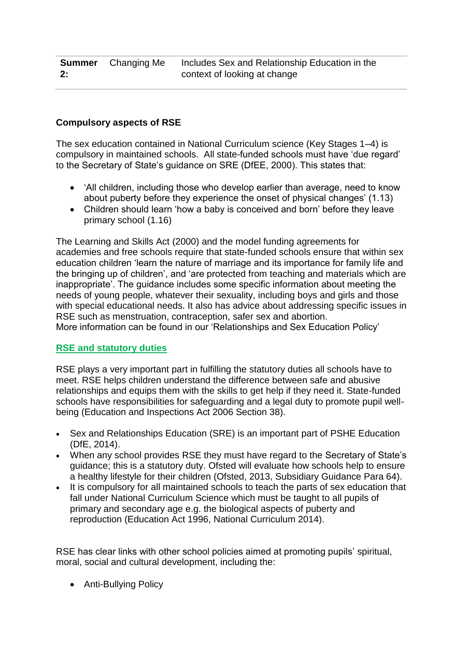# **Compulsory aspects of RSE**

The sex education contained in National Curriculum science (Key Stages 1–4) is compulsory in maintained schools. All state-funded schools must have 'due regard' to the Secretary of State's guidance on SRE (DfEE, 2000). This states that:

- 'All children, including those who develop earlier than average, need to know about puberty before they experience the onset of physical changes' (1.13)
- Children should learn 'how a baby is conceived and born' before they leave primary school (1.16)

The Learning and Skills Act (2000) and the model funding agreements for academies and free schools require that state-funded schools ensure that within sex education children 'learn the nature of marriage and its importance for family life and the bringing up of children', and 'are protected from teaching and materials which are inappropriate'. The guidance includes some specific information about meeting the needs of young people, whatever their sexuality, including boys and girls and those with special educational needs. It also has advice about addressing specific issues in RSE such as menstruation, contraception, safer sex and abortion. More information can be found in our 'Relationships and Sex Education Policy'

# **RSE and statutory duties**

RSE plays a very important part in fulfilling the statutory duties all schools have to meet. RSE helps children understand the difference between safe and abusive relationships and equips them with the skills to get help if they need it. State-funded schools have responsibilities for safeguarding and a legal duty to promote pupil wellbeing (Education and Inspections Act 2006 Section 38).

- Sex and Relationships Education (SRE) is an important part of PSHE Education (DfE, 2014).
- When any school provides RSE they must have regard to the [Secretary of State's](http://webarchive.nationalarchives.gov.uk/20130401151715/https:/www.education.gov.uk/publications/eOrderingDownload/DfES-0116-2000%20SRE.pdf)  [guidance;](http://webarchive.nationalarchives.gov.uk/20130401151715/https:/www.education.gov.uk/publications/eOrderingDownload/DfES-0116-2000%20SRE.pdf) this is a statutory duty. Ofsted will evaluate how schools help to ensure a healthy lifestyle for their children (Ofsted, 2013, Subsidiary Guidance Para 64).
- It is compulsory for all maintained schools to teach the parts of sex education that fall under National Curriculum Science which must be taught to all pupils of primary and secondary age e.g. the biological aspects of puberty and reproduction (Education Act 1996, National Curriculum 2014).

RSE has clear links with other school policies aimed at promoting pupils' spiritual, moral, social and cultural development, including the:

Anti-Bullying Policy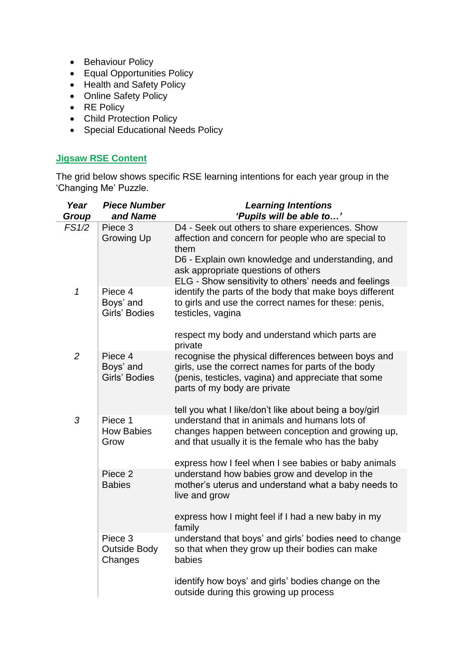- Behaviour Policy
- Equal Opportunities Policy
- Health and Safety Policy
- Online Safety Policy
- RE Policy
- Child Protection Policy
- Special Educational Needs Policy

# **Jigsaw RSE Content**

i.

The grid below shows specific RSE learning intentions for each year group in the 'Changing Me' Puzzle.

| Year<br>Group  | <b>Piece Number</b><br>and Name           | <b>Learning Intentions</b><br>'Pupils will be able to'                                                                                                                                                                                                             |
|----------------|-------------------------------------------|--------------------------------------------------------------------------------------------------------------------------------------------------------------------------------------------------------------------------------------------------------------------|
| FS1/2          | Piece 3<br><b>Growing Up</b>              | D4 - Seek out others to share experiences. Show<br>affection and concern for people who are special to<br>them<br>D6 - Explain own knowledge and understanding, and<br>ask appropriate questions of others<br>ELG - Show sensitivity to others' needs and feelings |
| $\mathcal{I}$  | Piece 4<br>Boys' and<br>Girls' Bodies     | identify the parts of the body that make boys different<br>to girls and use the correct names for these: penis,<br>testicles, vagina<br>respect my body and understand which parts are<br>private                                                                  |
| $\overline{2}$ | Piece 4<br>Boys' and<br>Girls' Bodies     | recognise the physical differences between boys and<br>girls, use the correct names for parts of the body<br>(penis, testicles, vagina) and appreciate that some<br>parts of my body are private<br>tell you what I like/don't like about being a boy/girl         |
| 3              | Piece 1<br><b>How Babies</b><br>Grow      | understand that in animals and humans lots of<br>changes happen between conception and growing up,<br>and that usually it is the female who has the baby<br>express how I feel when I see babies or baby animals                                                   |
|                | Piece 2<br><b>Babies</b>                  | understand how babies grow and develop in the<br>mother's uterus and understand what a baby needs to<br>live and grow<br>express how I might feel if I had a new baby in my<br>family                                                                              |
|                | Piece 3<br><b>Outside Body</b><br>Changes | understand that boys' and girls' bodies need to change<br>so that when they grow up their bodies can make<br>babies<br>identify how boys' and girls' bodies change on the<br>outside during this growing up process                                                |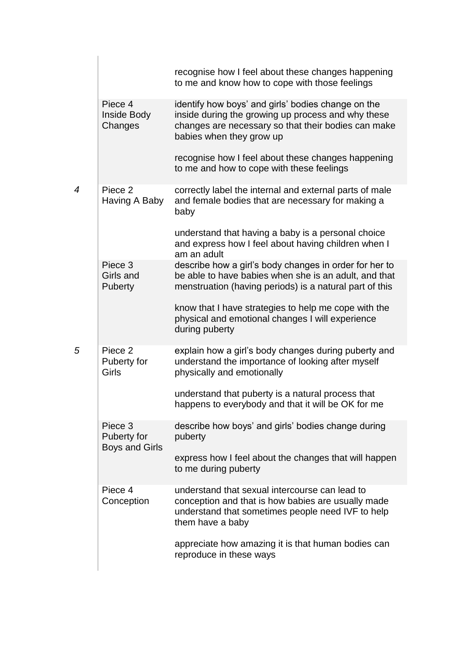|                |                                                 | recognise how I feel about these changes happening<br>to me and know how to cope with those feelings                                                                                        |
|----------------|-------------------------------------------------|---------------------------------------------------------------------------------------------------------------------------------------------------------------------------------------------|
|                | Piece 4<br>Inside Body<br>Changes               | identify how boys' and girls' bodies change on the<br>inside during the growing up process and why these<br>changes are necessary so that their bodies can make<br>babies when they grow up |
|                |                                                 | recognise how I feel about these changes happening<br>to me and how to cope with these feelings                                                                                             |
| $\overline{4}$ | Piece 2<br>Having A Baby                        | correctly label the internal and external parts of male<br>and female bodies that are necessary for making a<br>baby                                                                        |
|                |                                                 | understand that having a baby is a personal choice<br>and express how I feel about having children when I<br>am an adult                                                                    |
|                | Piece 3<br>Girls and<br><b>Puberty</b>          | describe how a girl's body changes in order for her to<br>be able to have babies when she is an adult, and that<br>menstruation (having periods) is a natural part of this                  |
|                |                                                 | know that I have strategies to help me cope with the<br>physical and emotional changes I will experience<br>during puberty                                                                  |
| 5              | Piece 2<br>Puberty for<br>Girls                 | explain how a girl's body changes during puberty and<br>understand the importance of looking after myself<br>physically and emotionally                                                     |
|                |                                                 | understand that puberty is a natural process that<br>happens to everybody and that it will be OK for me                                                                                     |
|                | Piece 3<br>Puberty for<br><b>Boys and Girls</b> | describe how boys' and girls' bodies change during<br>puberty                                                                                                                               |
|                |                                                 | express how I feel about the changes that will happen<br>to me during puberty                                                                                                               |
|                | Piece 4<br>Conception                           | understand that sexual intercourse can lead to<br>conception and that is how babies are usually made<br>understand that sometimes people need IVF to help<br>them have a baby               |
|                |                                                 | appreciate how amazing it is that human bodies can<br>reproduce in these ways                                                                                                               |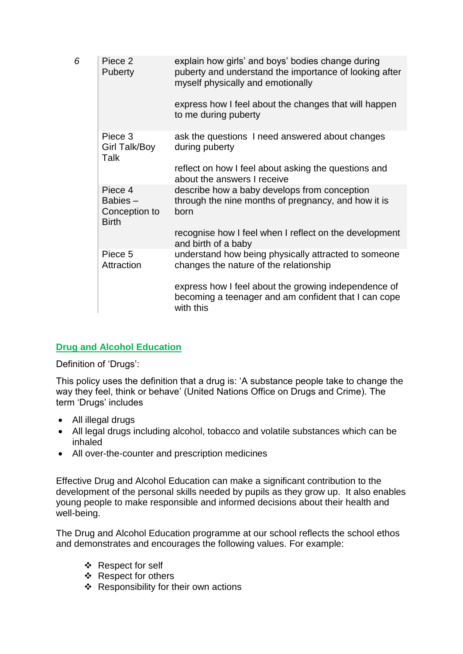| 6 | Piece 2<br><b>Puberty</b>                           | explain how girls' and boys' bodies change during<br>puberty and understand the importance of looking after<br>myself physically and emotionally<br>express how I feel about the changes that will happen<br>to me during puberty |
|---|-----------------------------------------------------|-----------------------------------------------------------------------------------------------------------------------------------------------------------------------------------------------------------------------------------|
|   | Piece 3<br>Girl Talk/Boy<br>Talk                    | ask the questions I need answered about changes<br>during puberty<br>reflect on how I feel about asking the questions and<br>about the answers I receive                                                                          |
|   | Piece 4<br>Babies-<br>Conception to<br><b>Birth</b> | describe how a baby develops from conception<br>through the nine months of pregnancy, and how it is<br>born<br>recognise how I feel when I reflect on the development<br>and birth of a baby                                      |
|   | Piece 5<br>Attraction                               | understand how being physically attracted to someone<br>changes the nature of the relationship                                                                                                                                    |
|   |                                                     | express how I feel about the growing independence of<br>becoming a teenager and am confident that I can cope<br>with this                                                                                                         |

# **Drug and Alcohol Education**

Definition of 'Drugs':

This policy uses the definition that a drug is: 'A substance people take to change the way they feel, think or behave' (United Nations Office on Drugs and Crime). The term 'Drugs' includes

- All illegal drugs
- All legal drugs including alcohol, tobacco and volatile substances which can be inhaled
- All over-the-counter and prescription medicines

Effective Drug and Alcohol Education can make a significant contribution to the development of the personal skills needed by pupils as they grow up. It also enables young people to make responsible and informed decisions about their health and well-being.

The Drug and Alcohol Education programme at our school reflects the school ethos and demonstrates and encourages the following values. For example:

- ❖ Respect for self
- ❖ Respect for others
- $\div$  Responsibility for their own actions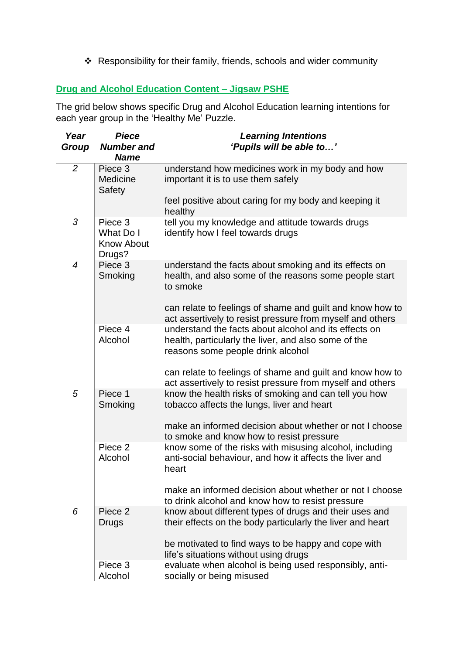Responsibility for their family, friends, schools and wider community

# **Drug and Alcohol Education Content – Jigsaw PSHE**

The grid below shows specific Drug and Alcohol Education learning intentions for each year group in the 'Healthy Me' Puzzle.

| Year<br>Group  | <b>Piece</b><br><b>Number and</b><br><b>Name</b>    | <b>Learning Intentions</b><br>'Pupils will be able to'                                                                                             |
|----------------|-----------------------------------------------------|----------------------------------------------------------------------------------------------------------------------------------------------------|
| $\overline{2}$ | Piece 3<br>Medicine<br>Safety                       | understand how medicines work in my body and how<br>important it is to use them safely                                                             |
|                |                                                     | feel positive about caring for my body and keeping it<br>healthy                                                                                   |
| 3              | Piece 3<br>What Do I<br><b>Know About</b><br>Drugs? | tell you my knowledge and attitude towards drugs<br>identify how I feel towards drugs                                                              |
| $\overline{4}$ | Piece 3<br>Smoking                                  | understand the facts about smoking and its effects on<br>health, and also some of the reasons some people start<br>to smoke                        |
|                |                                                     | can relate to feelings of shame and guilt and know how to<br>act assertively to resist pressure from myself and others                             |
|                | Piece 4<br>Alcohol                                  | understand the facts about alcohol and its effects on<br>health, particularly the liver, and also some of the<br>reasons some people drink alcohol |
|                |                                                     | can relate to feelings of shame and guilt and know how to<br>act assertively to resist pressure from myself and others                             |
| 5              | Piece 1<br>Smoking                                  | know the health risks of smoking and can tell you how<br>tobacco affects the lungs, liver and heart                                                |
|                |                                                     | make an informed decision about whether or not I choose<br>to smoke and know how to resist pressure                                                |
|                | Piece 2<br>Alcohol                                  | know some of the risks with misusing alcohol, including<br>anti-social behaviour, and how it affects the liver and<br>heart                        |
|                |                                                     | make an informed decision about whether or not I choose<br>to drink alcohol and know how to resist pressure                                        |
| 6              | Piece 2<br>Drugs                                    | know about different types of drugs and their uses and<br>their effects on the body particularly the liver and heart                               |
|                |                                                     | be motivated to find ways to be happy and cope with<br>life's situations without using drugs                                                       |
|                | Piece 3<br>Alcohol                                  | evaluate when alcohol is being used responsibly, anti-<br>socially or being misused                                                                |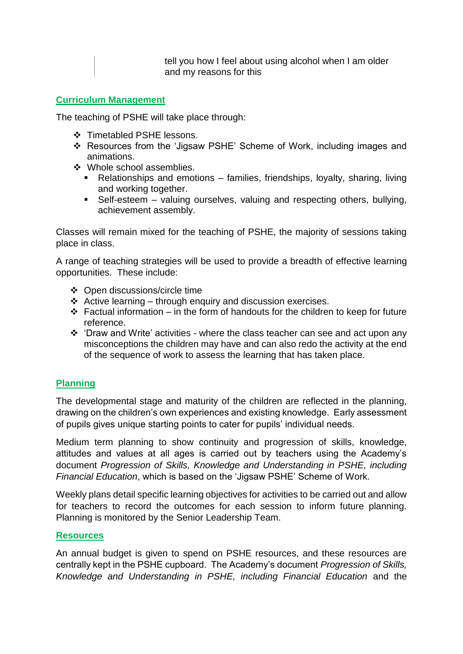tell you how I feel about using alcohol when I am older and my reasons for this

# **Curriculum Management**

The teaching of PSHE will take place through:

- Timetabled PSHE lessons.
- Resources from the 'Jigsaw PSHE' Scheme of Work, including images and animations.
- Whole school assemblies.
	- Relationships and emotions families, friendships, loyalty, sharing, living and working together.
	- Self-esteem valuing ourselves, valuing and respecting others, bullying, achievement assembly.

Classes will remain mixed for the teaching of PSHE, the majority of sessions taking place in class.

A range of teaching strategies will be used to provide a breadth of effective learning opportunities. These include:

- Open discussions/circle time
- $\triangle$  Active learning through enquiry and discussion exercises.
- $\div$  Factual information in the form of handouts for the children to keep for future reference.
- $\div$  'Draw and Write' activities where the class teacher can see and act upon any misconceptions the children may have and can also redo the activity at the end of the sequence of work to assess the learning that has taken place.

# **Planning**

The developmental stage and maturity of the children are reflected in the planning, drawing on the children's own experiences and existing knowledge. Early assessment of pupils gives unique starting points to cater for pupils' individual needs.

Medium term planning to show continuity and progression of skills, knowledge, attitudes and values at all ages is carried out by teachers using the Academy's document *Progression of Skills, Knowledge and Understanding in PSHE, including Financial Education*, which is based on the 'Jigsaw PSHE' Scheme of Work.

Weekly plans detail specific learning objectives for activities to be carried out and allow for teachers to record the outcomes for each session to inform future planning. Planning is monitored by the Senior Leadership Team.

# **Resources**

An annual budget is given to spend on PSHE resources, and these resources are centrally kept in the PSHE cupboard. The Academy's document *Progression of Skills, Knowledge and Understanding in PSHE, including Financial Education* and the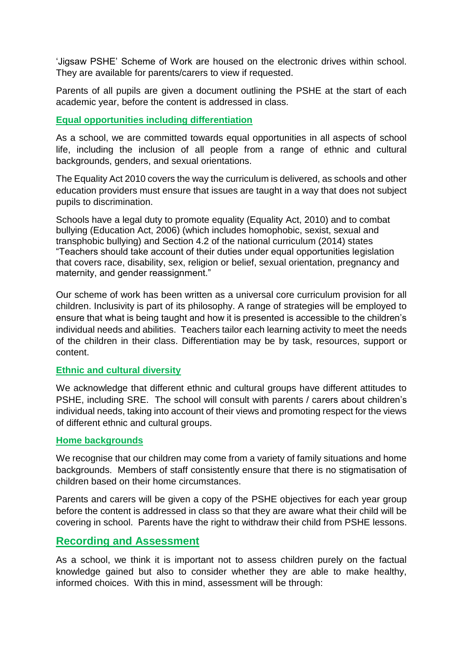'Jigsaw PSHE' Scheme of Work are housed on the electronic drives within school. They are available for parents/carers to view if requested.

Parents of all pupils are given a document outlining the PSHE at the start of each academic year, before the content is addressed in class.

# **Equal opportunities including differentiation**

As a school, we are committed towards equal opportunities in all aspects of school life, including the inclusion of all people from a range of ethnic and cultural backgrounds, genders, and sexual orientations.

The Equality Act 2010 covers the way the curriculum is delivered, as schools and other education providers must ensure that issues are taught in a way that does not subject pupils to discrimination.

Schools have a legal duty to promote equality (Equality Act, 2010) and to combat bullying (Education Act, 2006) (which includes homophobic, sexist, sexual and transphobic bullying) and Section 4.2 of the national curriculum (2014) states "Teachers should take account of their duties under equal opportunities legislation that covers race, disability, sex, religion or belief, sexual orientation, pregnancy and maternity, and gender reassignment."

Our scheme of work has been written as a universal core curriculum provision for all children. Inclusivity is part of its philosophy. A range of strategies will be employed to ensure that what is being taught and how it is presented is accessible to the children's individual needs and abilities. Teachers tailor each learning activity to meet the needs of the children in their class. Differentiation may be by task, resources, support or content.

# **Ethnic and cultural diversity**

We acknowledge that different ethnic and cultural groups have different attitudes to PSHE, including SRE. The school will consult with parents / carers about children's individual needs, taking into account of their views and promoting respect for the views of different ethnic and cultural groups.

# **Home backgrounds**

We recognise that our children may come from a variety of family situations and home backgrounds. Members of staff consistently ensure that there is no stigmatisation of children based on their home circumstances.

Parents and carers will be given a copy of the PSHE objectives for each year group before the content is addressed in class so that they are aware what their child will be covering in school. Parents have the right to withdraw their child from PSHE lessons.

# **Recording and Assessment**

As a school, we think it is important not to assess children purely on the factual knowledge gained but also to consider whether they are able to make healthy, informed choices. With this in mind, assessment will be through: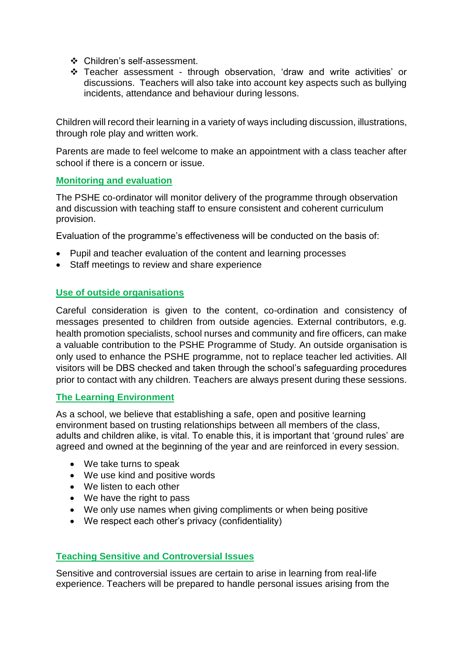- Children's self-assessment.
- Teacher assessment through observation, 'draw and write activities' or discussions. Teachers will also take into account key aspects such as bullying incidents, attendance and behaviour during lessons.

Children will record their learning in a variety of ways including discussion, illustrations, through role play and written work.

Parents are made to feel welcome to make an appointment with a class teacher after school if there is a concern or issue.

#### **Monitoring and evaluation**

The PSHE co-ordinator will monitor delivery of the programme through observation and discussion with teaching staff to ensure consistent and coherent curriculum provision.

Evaluation of the programme's effectiveness will be conducted on the basis of:

- Pupil and teacher evaluation of the content and learning processes
- Staff meetings to review and share experience

# **Use of outside organisations**

Careful consideration is given to the content, co-ordination and consistency of messages presented to children from outside agencies. External contributors, e.g. health promotion specialists, school nurses and community and fire officers, can make a valuable contribution to the PSHE Programme of Study. An outside organisation is only used to enhance the PSHE programme, not to replace teacher led activities. All visitors will be DBS checked and taken through the school's safeguarding procedures prior to contact with any children. Teachers are always present during these sessions.

# **The Learning Environment**

As a school, we believe that establishing a safe, open and positive learning environment based on trusting relationships between all members of the class, adults and children alike, is vital. To enable this, it is important that 'ground rules' are agreed and owned at the beginning of the year and are reinforced in every session.

- We take turns to speak
- We use kind and positive words
- We listen to each other
- We have the right to pass
- We only use names when giving compliments or when being positive
- We respect each other's privacy (confidentiality)

#### **Teaching Sensitive and Controversial Issues**

Sensitive and controversial issues are certain to arise in learning from real-life experience. Teachers will be prepared to handle personal issues arising from the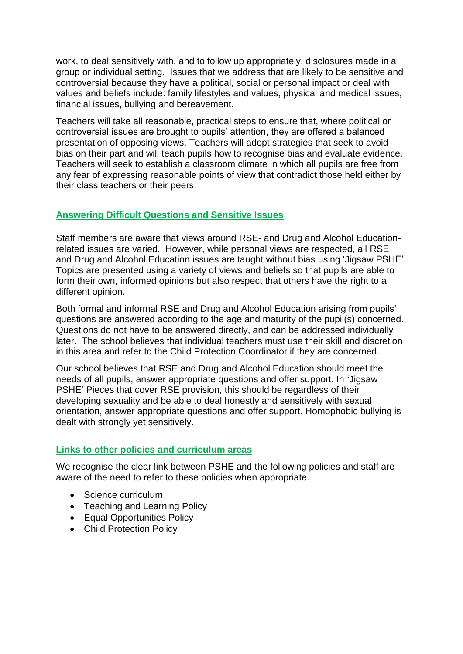work, to deal sensitively with, and to follow up appropriately, disclosures made in a group or individual setting. Issues that we address that are likely to be sensitive and controversial because they have a political, social or personal impact or deal with values and beliefs include: family lifestyles and values, physical and medical issues, financial issues, bullying and bereavement.

Teachers will take all reasonable, practical steps to ensure that, where political or controversial issues are brought to pupils' attention, they are offered a balanced presentation of opposing views. Teachers will adopt strategies that seek to avoid bias on their part and will teach pupils how to recognise bias and evaluate evidence. Teachers will seek to establish a classroom climate in which all pupils are free from any fear of expressing reasonable points of view that contradict those held either by their class teachers or their peers.

# **Answering Difficult Questions and Sensitive Issues**

Staff members are aware that views around RSE- and Drug and Alcohol Educationrelated issues are varied. However, while personal views are respected, all RSE and Drug and Alcohol Education issues are taught without bias using 'Jigsaw PSHE'. Topics are presented using a variety of views and beliefs so that pupils are able to form their own, informed opinions but also respect that others have the right to a different opinion.

Both formal and informal RSE and Drug and Alcohol Education arising from pupils' questions are answered according to the age and maturity of the pupil(s) concerned. Questions do not have to be answered directly, and can be addressed individually later. The school believes that individual teachers must use their skill and discretion in this area and refer to the Child Protection Coordinator if they are concerned.

Our school believes that RSE and Drug and Alcohol Education should meet the needs of all pupils, answer appropriate questions and offer support. In 'Jigsaw PSHE' Pieces that cover RSE provision, this should be regardless of their developing sexuality and be able to deal honestly and sensitively with sexual orientation, answer appropriate questions and offer support. Homophobic bullying is dealt with strongly yet sensitively.

# **Links to other policies and curriculum areas**

We recognise the clear link between PSHE and the following policies and staff are aware of the need to refer to these policies when appropriate.

- Science curriculum
- Teaching and Learning Policy
- Equal Opportunities Policy
- Child Protection Policy